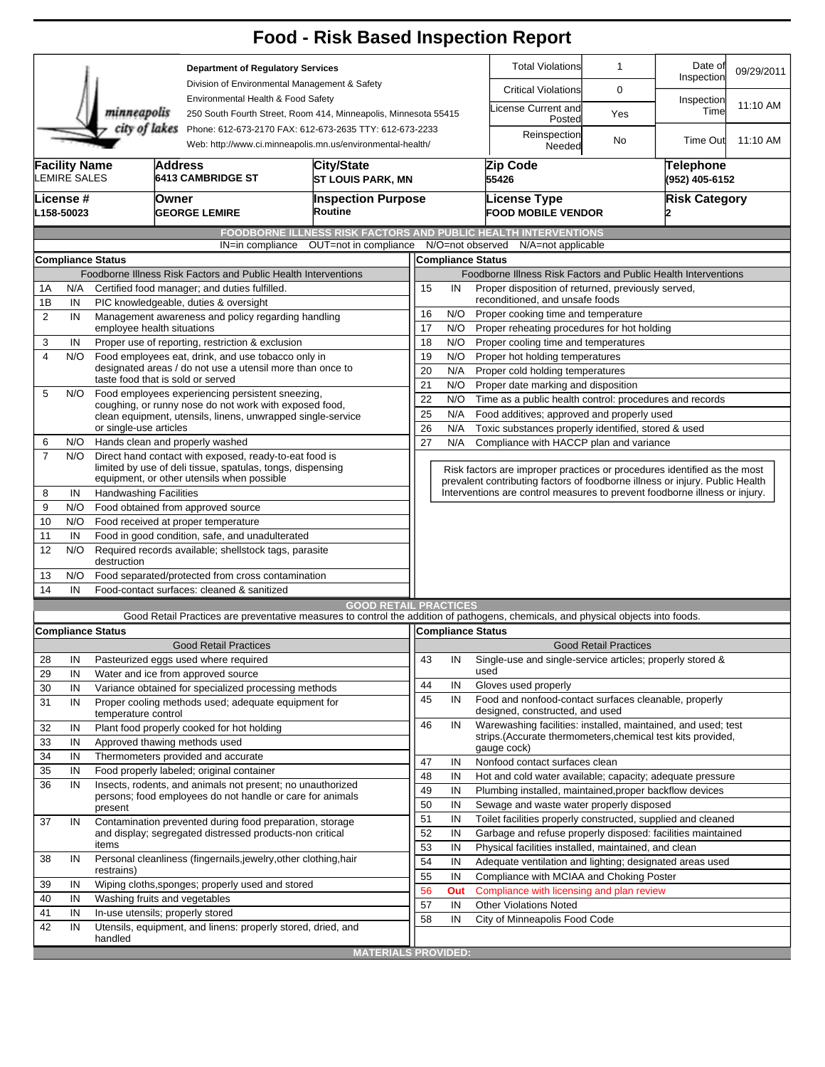|                                                                                                                                        |                     |                                                                                                                      |                                                                                                                      | <b>Food - Risk Based Inspection Report</b>                                                                                        |                                                                                                   |                                                                                                                                   |                                               |                                                  |                                                      |                                                                              |                      |  |
|----------------------------------------------------------------------------------------------------------------------------------------|---------------------|----------------------------------------------------------------------------------------------------------------------|----------------------------------------------------------------------------------------------------------------------|-----------------------------------------------------------------------------------------------------------------------------------|---------------------------------------------------------------------------------------------------|-----------------------------------------------------------------------------------------------------------------------------------|-----------------------------------------------|--------------------------------------------------|------------------------------------------------------|------------------------------------------------------------------------------|----------------------|--|
| minneapolis                                                                                                                            |                     |                                                                                                                      |                                                                                                                      | <b>Department of Regulatory Services</b><br>Division of Environmental Management & Safety                                         |                                                                                                   |                                                                                                                                   | <b>Total Violations</b>                       | $\mathbf{1}$                                     | Date of<br>Inspection                                | 09/29/2011                                                                   |                      |  |
|                                                                                                                                        |                     |                                                                                                                      |                                                                                                                      |                                                                                                                                   |                                                                                                   |                                                                                                                                   |                                               | <b>Critical Violations</b>                       |                                                      |                                                                              |                      |  |
|                                                                                                                                        |                     |                                                                                                                      |                                                                                                                      | Environmental Health & Food Safety<br>250 South Fourth Street, Room 414, Minneapolis, Minnesota 55415                             |                                                                                                   |                                                                                                                                   |                                               | License Current and<br>Posted                    | Yes                                                  | Inspection<br>Time                                                           | 11:10 AM             |  |
| city of lakes<br>Phone: 612-673-2170 FAX: 612-673-2635 TTY: 612-673-2233<br>Web: http://www.ci.minneapolis.mn.us/environmental-health/ |                     |                                                                                                                      |                                                                                                                      |                                                                                                                                   |                                                                                                   |                                                                                                                                   |                                               | Reinspection<br>Needed                           | No                                                   | <b>Time Out</b>                                                              | 11:10 AM             |  |
| <b>Facility Name</b>                                                                                                                   | <b>LEMIRE SALES</b> |                                                                                                                      | <b>Address</b><br><b>6413 CAMBRIDGE ST</b>                                                                           | <b>City/State</b><br><b>ST LOUIS PARK, MN</b>                                                                                     |                                                                                                   |                                                                                                                                   | Zip Code<br>55426                             |                                                  |                                                      | <b>Telephone</b><br>(952) 405-6152                                           |                      |  |
| lLicense #<br>L158-50023                                                                                                               |                     |                                                                                                                      | Owner<br><b>GEORGE LEMIRE</b>                                                                                        | Routine                                                                                                                           | <b>Inspection Purpose</b>                                                                         |                                                                                                                                   |                                               | <b>License Type</b><br><b>FOOD MOBILE VENDOR</b> |                                                      |                                                                              | <b>Risk Category</b> |  |
|                                                                                                                                        |                     |                                                                                                                      | IN=in compliance                                                                                                     | FOODBORNE ILLNESS RISK FACTORS AND PUBLIC HEALTH INTERVENTIONS<br>OUT=not in compliance                                           |                                                                                                   |                                                                                                                                   | N/O=not observed                              | N/A=not applicable                               |                                                      |                                                                              |                      |  |
|                                                                                                                                        |                     | <b>Compliance Status</b>                                                                                             |                                                                                                                      |                                                                                                                                   |                                                                                                   |                                                                                                                                   | <b>Compliance Status</b>                      |                                                  |                                                      |                                                                              |                      |  |
|                                                                                                                                        |                     |                                                                                                                      | Foodborne Illness Risk Factors and Public Health Interventions                                                       |                                                                                                                                   | Foodborne Illness Risk Factors and Public Health Interventions                                    |                                                                                                                                   |                                               |                                                  |                                                      |                                                                              |                      |  |
| 1A                                                                                                                                     | N/A                 |                                                                                                                      | Certified food manager; and duties fulfilled.                                                                        |                                                                                                                                   | 15<br>IN<br>Proper disposition of returned, previously served,                                    |                                                                                                                                   |                                               |                                                  |                                                      |                                                                              |                      |  |
| 1B                                                                                                                                     | IN                  | PIC knowledgeable, duties & oversight                                                                                |                                                                                                                      |                                                                                                                                   | reconditioned, and unsafe foods                                                                   |                                                                                                                                   |                                               |                                                  |                                                      |                                                                              |                      |  |
| $\overline{2}$                                                                                                                         | IN                  |                                                                                                                      | Management awareness and policy regarding handling                                                                   |                                                                                                                                   | N/O<br>16<br>Proper cooking time and temperature                                                  |                                                                                                                                   |                                               |                                                  |                                                      |                                                                              |                      |  |
|                                                                                                                                        |                     |                                                                                                                      | employee health situations<br>Proper use of reporting, restriction & exclusion                                       |                                                                                                                                   | 17<br>N/O<br>Proper reheating procedures for hot holding                                          |                                                                                                                                   |                                               |                                                  |                                                      |                                                                              |                      |  |
| 3<br>4                                                                                                                                 | IN<br>N/O           |                                                                                                                      |                                                                                                                      |                                                                                                                                   | 18<br>N/O<br>Proper cooling time and temperatures<br>19<br>N/O<br>Proper hot holding temperatures |                                                                                                                                   |                                               |                                                  |                                                      |                                                                              |                      |  |
|                                                                                                                                        |                     | Food employees eat, drink, and use tobacco only in<br>designated areas / do not use a utensil more than once to      |                                                                                                                      |                                                                                                                                   | 20<br>N/A<br>Proper cold holding temperatures                                                     |                                                                                                                                   |                                               |                                                  |                                                      |                                                                              |                      |  |
|                                                                                                                                        |                     | taste food that is sold or served                                                                                    |                                                                                                                      |                                                                                                                                   |                                                                                                   | 21<br>N/O<br>Proper date marking and disposition                                                                                  |                                               |                                                  |                                                      |                                                                              |                      |  |
| 5                                                                                                                                      | N/O                 | Food employees experiencing persistent sneezing,<br>coughing, or runny nose do not work with exposed food,           |                                                                                                                      |                                                                                                                                   | 22<br>Time as a public health control: procedures and records<br>N/O                              |                                                                                                                                   |                                               |                                                  |                                                      |                                                                              |                      |  |
|                                                                                                                                        |                     |                                                                                                                      | clean equipment, utensils, linens, unwrapped single-service                                                          |                                                                                                                                   | 25                                                                                                | N/A                                                                                                                               |                                               |                                                  | Food additives; approved and properly used           |                                                                              |                      |  |
|                                                                                                                                        |                     |                                                                                                                      | or single-use articles                                                                                               |                                                                                                                                   |                                                                                                   | 26<br>N/A<br>Toxic substances properly identified, stored & used                                                                  |                                               |                                                  |                                                      |                                                                              |                      |  |
| 6                                                                                                                                      | N/O                 | Hands clean and properly washed                                                                                      |                                                                                                                      |                                                                                                                                   |                                                                                                   | N/A                                                                                                                               |                                               |                                                  | Compliance with HACCP plan and variance              |                                                                              |                      |  |
| $\overline{7}$                                                                                                                         | N/O                 |                                                                                                                      | Direct hand contact with exposed, ready-to-eat food is<br>limited by use of deli tissue, spatulas, tongs, dispensing |                                                                                                                                   |                                                                                                   |                                                                                                                                   |                                               |                                                  |                                                      | Risk factors are improper practices or procedures identified as the most     |                      |  |
|                                                                                                                                        |                     |                                                                                                                      | equipment, or other utensils when possible                                                                           |                                                                                                                                   |                                                                                                   |                                                                                                                                   |                                               |                                                  |                                                      | prevalent contributing factors of foodborne illness or injury. Public Health |                      |  |
| 8<br>9                                                                                                                                 | IN<br>N/O           | <b>Handwashing Facilities</b>                                                                                        |                                                                                                                      |                                                                                                                                   |                                                                                                   |                                                                                                                                   |                                               |                                                  |                                                      | Interventions are control measures to prevent foodborne illness or injury.   |                      |  |
| 10                                                                                                                                     | N/O                 | Food obtained from approved source                                                                                   |                                                                                                                      |                                                                                                                                   |                                                                                                   |                                                                                                                                   |                                               |                                                  |                                                      |                                                                              |                      |  |
| 11                                                                                                                                     | IN                  | Food received at proper temperature<br>Food in good condition, safe, and unadulterated                               |                                                                                                                      |                                                                                                                                   |                                                                                                   |                                                                                                                                   |                                               |                                                  |                                                      |                                                                              |                      |  |
| 12                                                                                                                                     | N/O                 | destruction                                                                                                          | Required records available; shellstock tags, parasite                                                                |                                                                                                                                   |                                                                                                   |                                                                                                                                   |                                               |                                                  |                                                      |                                                                              |                      |  |
| 13                                                                                                                                     | N/O                 |                                                                                                                      | Food separated/protected from cross contamination                                                                    |                                                                                                                                   |                                                                                                   |                                                                                                                                   |                                               |                                                  |                                                      |                                                                              |                      |  |
| 14                                                                                                                                     | IN                  |                                                                                                                      | Food-contact surfaces: cleaned & sanitized                                                                           |                                                                                                                                   |                                                                                                   |                                                                                                                                   |                                               |                                                  |                                                      |                                                                              |                      |  |
|                                                                                                                                        |                     |                                                                                                                      |                                                                                                                      | <b>GOOD RETAIL PRACTICES</b>                                                                                                      |                                                                                                   |                                                                                                                                   |                                               |                                                  |                                                      |                                                                              |                      |  |
|                                                                                                                                        |                     |                                                                                                                      |                                                                                                                      | Good Retail Practices are preventative measures to control the addition of pathogens, chemicals, and physical objects into foods. |                                                                                                   |                                                                                                                                   |                                               |                                                  |                                                      |                                                                              |                      |  |
|                                                                                                                                        |                     | <b>Compliance Status</b>                                                                                             |                                                                                                                      |                                                                                                                                   |                                                                                                   |                                                                                                                                   | Compliance Status                             |                                                  |                                                      |                                                                              |                      |  |
|                                                                                                                                        |                     |                                                                                                                      | <b>Good Retail Practices</b>                                                                                         |                                                                                                                                   |                                                                                                   |                                                                                                                                   |                                               |                                                  | <b>Good Retail Practices</b>                         |                                                                              |                      |  |
| 28                                                                                                                                     | IN                  |                                                                                                                      | Pasteurized eggs used where required                                                                                 |                                                                                                                                   | 43                                                                                                | IN                                                                                                                                |                                               |                                                  |                                                      | Single-use and single-service articles; properly stored &                    |                      |  |
| 29                                                                                                                                     | IN                  |                                                                                                                      | Water and ice from approved source                                                                                   |                                                                                                                                   | 44                                                                                                | IN                                                                                                                                | used<br>Gloves used properly                  |                                                  |                                                      |                                                                              |                      |  |
| 30                                                                                                                                     | IN                  |                                                                                                                      | Variance obtained for specialized processing methods                                                                 |                                                                                                                                   | 45                                                                                                | IN                                                                                                                                |                                               |                                                  |                                                      | Food and nonfood-contact surfaces cleanable, properly                        |                      |  |
| 31                                                                                                                                     | IN                  | temperature control                                                                                                  | Proper cooling methods used; adequate equipment for                                                                  |                                                                                                                                   |                                                                                                   |                                                                                                                                   | designed, constructed, and used               |                                                  |                                                      |                                                                              |                      |  |
| 32                                                                                                                                     | IN                  |                                                                                                                      | Plant food properly cooked for hot holding                                                                           |                                                                                                                                   | 46                                                                                                | IN                                                                                                                                |                                               |                                                  |                                                      | Warewashing facilities: installed, maintained, and used; test                |                      |  |
| 33                                                                                                                                     | IN                  |                                                                                                                      | Approved thawing methods used                                                                                        |                                                                                                                                   |                                                                                                   |                                                                                                                                   |                                               |                                                  |                                                      | strips. (Accurate thermometers, chemical test kits provided,                 |                      |  |
| 34                                                                                                                                     | IN                  |                                                                                                                      | Thermometers provided and accurate                                                                                   |                                                                                                                                   |                                                                                                   |                                                                                                                                   | gauge cock)<br>Nonfood contact surfaces clean |                                                  |                                                      |                                                                              |                      |  |
| 35                                                                                                                                     | IN                  |                                                                                                                      | Food properly labeled; original container                                                                            |                                                                                                                                   | 47                                                                                                | IN                                                                                                                                |                                               |                                                  |                                                      | Hot and cold water available; capacity; adequate pressure                    |                      |  |
| 36                                                                                                                                     | IN                  |                                                                                                                      | Insects, rodents, and animals not present; no unauthorized                                                           |                                                                                                                                   | 48<br>49                                                                                          | IN<br>IN                                                                                                                          |                                               |                                                  |                                                      | Plumbing installed, maintained, proper backflow devices                      |                      |  |
|                                                                                                                                        |                     | persons; food employees do not handle or care for animals                                                            |                                                                                                                      |                                                                                                                                   | 50                                                                                                | IN                                                                                                                                |                                               |                                                  | Sewage and waste water properly disposed             |                                                                              |                      |  |
| 37                                                                                                                                     |                     | present                                                                                                              |                                                                                                                      |                                                                                                                                   | 51                                                                                                | IN                                                                                                                                |                                               |                                                  |                                                      |                                                                              |                      |  |
|                                                                                                                                        | IN                  | Contamination prevented during food preparation, storage<br>and display; segregated distressed products-non critical |                                                                                                                      |                                                                                                                                   | 52                                                                                                | Toilet facilities properly constructed, supplied and cleaned<br>IN<br>Garbage and refuse properly disposed: facilities maintained |                                               |                                                  |                                                      |                                                                              |                      |  |
|                                                                                                                                        |                     | items                                                                                                                |                                                                                                                      |                                                                                                                                   | 53                                                                                                | IN                                                                                                                                |                                               |                                                  | Physical facilities installed, maintained, and clean |                                                                              |                      |  |
| 38                                                                                                                                     | IN                  |                                                                                                                      | Personal cleanliness (fingernails, jewelry, other clothing, hair                                                     |                                                                                                                                   | 54                                                                                                | IN                                                                                                                                |                                               |                                                  |                                                      | Adequate ventilation and lighting; designated areas used                     |                      |  |
|                                                                                                                                        |                     | restrains)                                                                                                           |                                                                                                                      |                                                                                                                                   | 55                                                                                                | IN                                                                                                                                |                                               |                                                  | Compliance with MCIAA and Choking Poster             |                                                                              |                      |  |
| 39                                                                                                                                     | IN                  |                                                                                                                      | Wiping cloths, sponges; properly used and stored                                                                     |                                                                                                                                   | 56                                                                                                | Out                                                                                                                               |                                               |                                                  | Compliance with licensing and plan review            |                                                                              |                      |  |
| 40                                                                                                                                     | IN                  |                                                                                                                      | Washing fruits and vegetables                                                                                        |                                                                                                                                   | 57                                                                                                | IN                                                                                                                                | <b>Other Violations Noted</b>                 |                                                  |                                                      |                                                                              |                      |  |
| 41                                                                                                                                     | IN                  |                                                                                                                      | In-use utensils; properly stored                                                                                     |                                                                                                                                   | 58                                                                                                | IN                                                                                                                                | City of Minneapolis Food Code                 |                                                  |                                                      |                                                                              |                      |  |
| 42                                                                                                                                     | IN                  | handled                                                                                                              | Utensils, equipment, and linens: properly stored, dried, and                                                         |                                                                                                                                   |                                                                                                   |                                                                                                                                   |                                               |                                                  |                                                      |                                                                              |                      |  |
|                                                                                                                                        |                     |                                                                                                                      |                                                                                                                      | <b>MATERIALS PROVIDED:</b>                                                                                                        |                                                                                                   |                                                                                                                                   |                                               |                                                  |                                                      |                                                                              |                      |  |